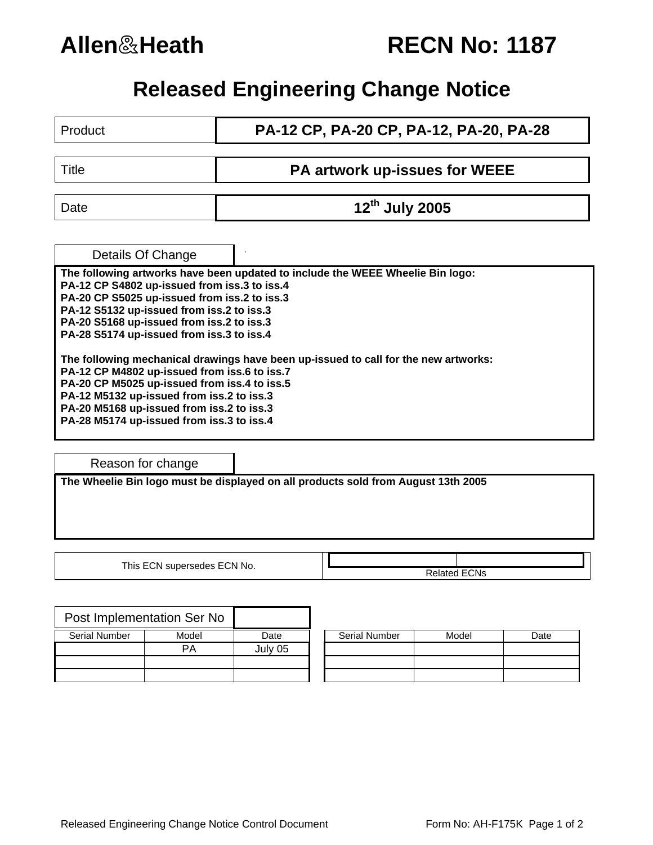

|  | <b>RECN No: 1187</b> |  |  |
|--|----------------------|--|--|
|--|----------------------|--|--|

## **Released Engineering Change Notice**

| Product                                                                                                                                                                                                                                                                                                                    | PA-12 CP, PA-20 CP, PA-12, PA-20, PA-28 |  |  |  |
|----------------------------------------------------------------------------------------------------------------------------------------------------------------------------------------------------------------------------------------------------------------------------------------------------------------------------|-----------------------------------------|--|--|--|
| Title                                                                                                                                                                                                                                                                                                                      | PA artwork up-issues for WEEE           |  |  |  |
| Date                                                                                                                                                                                                                                                                                                                       | 12 <sup>th</sup> July 2005              |  |  |  |
| Details Of Change                                                                                                                                                                                                                                                                                                          |                                         |  |  |  |
| The following artworks have been updated to include the WEEE Wheelie Bin logo:<br>PA-12 CP S4802 up-issued from iss.3 to iss.4<br>PA-20 CP S5025 up-issued from iss.2 to iss.3<br>PA-12 S5132 up-issued from iss.2 to iss.3<br>PA-20 S5168 up-issued from iss.2 to iss.3<br>PA-28 S5174 up-issued from iss.3 to iss.4      |                                         |  |  |  |
| The following mechanical drawings have been up-issued to call for the new artworks:<br>PA-12 CP M4802 up-issued from iss.6 to iss.7<br>PA-20 CP M5025 up-issued from iss.4 to iss.5<br>PA-12 M5132 up-issued from iss.2 to iss.3<br>PA-20 M5168 up-issued from iss.2 to iss.3<br>PA-28 M5174 up-issued from iss.3 to iss.4 |                                         |  |  |  |

Reason for change

**The Wheelie Bin logo must be displayed on all products sold from August 13th 2005** 

This ECN supersedes ECN No.

|               | Post Implementation Ser No |         |                      |       |      |
|---------------|----------------------------|---------|----------------------|-------|------|
| Serial Number | Model                      | Date    | <b>Serial Number</b> | Model | Date |
|               | PA                         | July 05 |                      |       |      |
|               |                            |         |                      |       |      |
|               |                            |         |                      |       |      |

| <b>Serial Number</b> | Model | Date |
|----------------------|-------|------|
|                      |       |      |
|                      |       |      |
|                      |       |      |